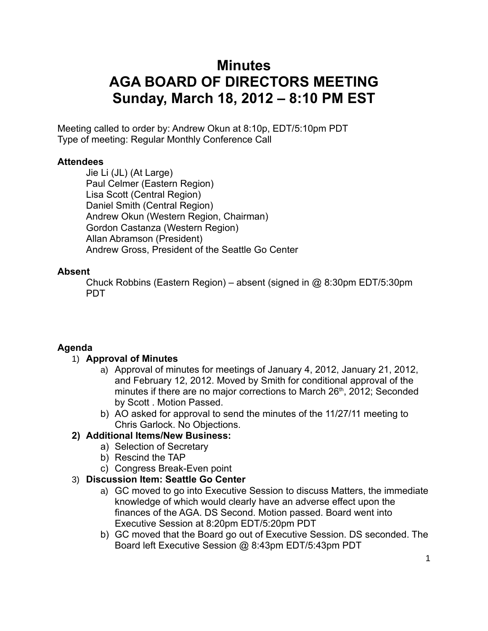# **Minutes AGA BOARD OF DIRECTORS MEETING Sunday, March 18, 2012 – 8:10 PM EST**

Meeting called to order by: Andrew Okun at 8:10p, EDT/5:10pm PDT Type of meeting: Regular Monthly Conference Call

#### **Attendees**

Jie Li (JL) (At Large) Paul Celmer (Eastern Region) Lisa Scott (Central Region) Daniel Smith (Central Region) Andrew Okun (Western Region, Chairman) Gordon Castanza (Western Region) Allan Abramson (President) Andrew Gross, President of the Seattle Go Center

#### **Absent**

Chuck Robbins (Eastern Region) – absent (signed in @ 8:30pm EDT/5:30pm PDT

#### **Agenda**

#### 1) **Approval of Minutes**

- a) Approval of minutes for meetings of January 4, 2012, January 21, 2012, and February 12, 2012. Moved by Smith for conditional approval of the minutes if there are no major corrections to March 26<sup>th</sup>, 2012; Seconded by Scott . Motion Passed.
- b) AO asked for approval to send the minutes of the 11/27/11 meeting to Chris Garlock. No Objections.

#### **2) Additional Items/New Business:**

- a) Selection of Secretary
- b) Rescind the TAP
- c) Congress Break-Even point

#### 3) **Discussion Item: Seattle Go Center**

- a) GC moved to go into Executive Session to discuss Matters, the immediate knowledge of which would clearly have an adverse effect upon the finances of the AGA. DS Second. Motion passed. Board went into Executive Session at 8:20pm EDT/5:20pm PDT
- b) GC moved that the Board go out of Executive Session. DS seconded. The Board left Executive Session @ 8:43pm EDT/5:43pm PDT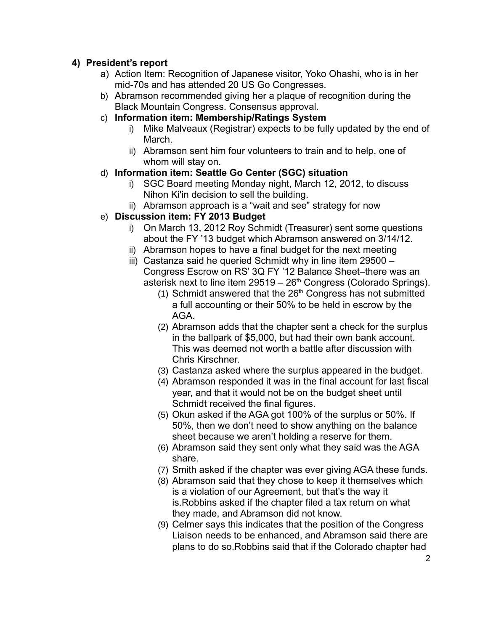#### **4) President's report**

- a) Action Item: Recognition of Japanese visitor, Yoko Ohashi, who is in her mid-70s and has attended 20 US Go Congresses.
- b) Abramson recommended giving her a plaque of recognition during the Black Mountain Congress. Consensus approval.
- c) **Information item: Membership/Ratings System**
	- i) Mike Malveaux (Registrar) expects to be fully updated by the end of March.
	- ii) Abramson sent him four volunteers to train and to help, one of whom will stay on.

#### d) **Information item: Seattle Go Center (SGC) situation**

- i) SGC Board meeting Monday night, March 12, 2012, to discuss Nihon Ki'in decision to sell the building.
- ii) Abramson approach is a "wait and see" strategy for now

#### e) **Discussion item: FY 2013 Budget**

- i) On March 13, 2012 Roy Schmidt (Treasurer) sent some questions about the FY '13 budget which Abramson answered on 3/14/12.
- ii) Abramson hopes to have a final budget for the next meeting
- iii) Castanza said he queried Schmidt why in line item 29500 Congress Escrow on RS' 3Q FY '12 Balance Sheet–there was an asterisk next to line item  $29519 - 26<sup>th</sup> Congress$  (Colorado Springs).
	- (1) Schmidt answered that the  $26<sup>th</sup>$  Congress has not submitted a full accounting or their 50% to be held in escrow by the AGA.
	- (2) Abramson adds that the chapter sent a check for the surplus in the ballpark of \$5,000, but had their own bank account. This was deemed not worth a battle after discussion with Chris Kirschner.
	- (3) Castanza asked where the surplus appeared in the budget.
	- (4) Abramson responded it was in the final account for last fiscal year, and that it would not be on the budget sheet until Schmidt received the final figures.
	- (5) Okun asked if the AGA got 100% of the surplus or 50%. If 50%, then we don't need to show anything on the balance sheet because we aren't holding a reserve for them.
	- (6) Abramson said they sent only what they said was the AGA share.
	- (7) Smith asked if the chapter was ever giving AGA these funds.
	- (8) Abramson said that they chose to keep it themselves which is a violation of our Agreement, but that's the way it is.Robbins asked if the chapter filed a tax return on what they made, and Abramson did not know.
	- (9) Celmer says this indicates that the position of the Congress Liaison needs to be enhanced, and Abramson said there are plans to do so.Robbins said that if the Colorado chapter had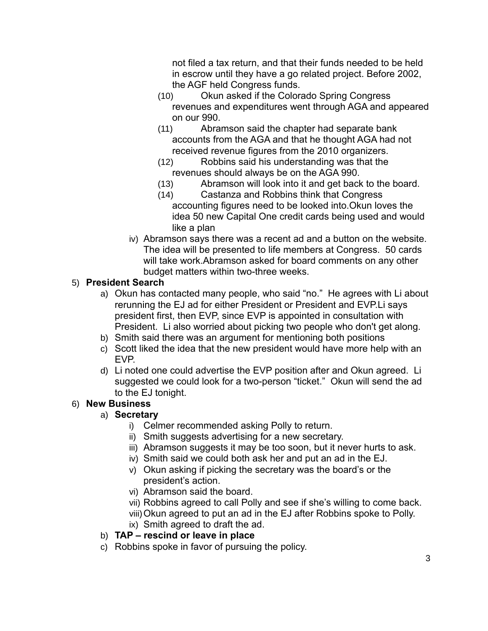not filed a tax return, and that their funds needed to be held in escrow until they have a go related project. Before 2002, the AGF held Congress funds.

- (10) Okun asked if the Colorado Spring Congress revenues and expenditures went through AGA and appeared on our 990.
- (11) Abramson said the chapter had separate bank accounts from the AGA and that he thought AGA had not received revenue figures from the 2010 organizers.
- (12) Robbins said his understanding was that the revenues should always be on the AGA 990.
- (13) Abramson will look into it and get back to the board.
- (14) Castanza and Robbins think that Congress accounting figures need to be looked into.Okun loves the idea 50 new Capital One credit cards being used and would like a plan
- iv) Abramson says there was a recent ad and a button on the website. The idea will be presented to life members at Congress. 50 cards will take work.Abramson asked for board comments on any other budget matters within two-three weeks.

## 5) **President Search**

- a) Okun has contacted many people, who said "no." He agrees with Li about rerunning the EJ ad for either President or President and EVP.Li says president first, then EVP, since EVP is appointed in consultation with President. Li also worried about picking two people who don't get along.
- b) Smith said there was an argument for mentioning both positions
- c) Scott liked the idea that the new president would have more help with an EVP.
- d) Li noted one could advertise the EVP position after and Okun agreed. Li suggested we could look for a two-person "ticket." Okun will send the ad to the EJ tonight.

## 6) **New Business**

## a) **Secretary**

- i) Celmer recommended asking Polly to return.
- ii) Smith suggests advertising for a new secretary.
- iii) Abramson suggests it may be too soon, but it never hurts to ask.
- iv) Smith said we could both ask her and put an ad in the EJ.
- v) Okun asking if picking the secretary was the board's or the president's action.
- vi) Abramson said the board.
- vii) Robbins agreed to call Polly and see if she's willing to come back.
- viii)Okun agreed to put an ad in the EJ after Robbins spoke to Polly.
- ix) Smith agreed to draft the ad.

# b) **TAP – rescind or leave in place**

c) Robbins spoke in favor of pursuing the policy.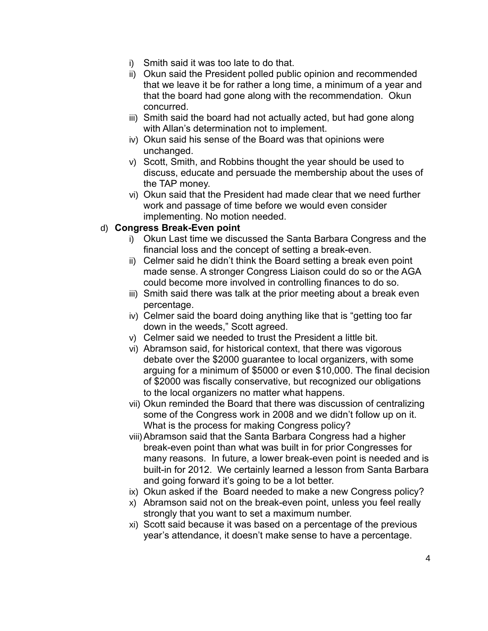- i) Smith said it was too late to do that.
- ii) Okun said the President polled public opinion and recommended that we leave it be for rather a long time, a minimum of a year and that the board had gone along with the recommendation. Okun concurred.
- iii) Smith said the board had not actually acted, but had gone along with Allan's determination not to implement.
- iv) Okun said his sense of the Board was that opinions were unchanged.
- v) Scott, Smith, and Robbins thought the year should be used to discuss, educate and persuade the membership about the uses of the TAP money.
- vi) Okun said that the President had made clear that we need further work and passage of time before we would even consider implementing. No motion needed.

#### d) **Congress Break-Even point**

- i) Okun Last time we discussed the Santa Barbara Congress and the financial loss and the concept of setting a break-even.
- ii) Celmer said he didn't think the Board setting a break even point made sense. A stronger Congress Liaison could do so or the AGA could become more involved in controlling finances to do so.
- iii) Smith said there was talk at the prior meeting about a break even percentage.
- iv) Celmer said the board doing anything like that is "getting too far down in the weeds," Scott agreed.
- v) Celmer said we needed to trust the President a little bit.
- vi) Abramson said, for historical context, that there was vigorous debate over the \$2000 guarantee to local organizers, with some arguing for a minimum of \$5000 or even \$10,000. The final decision of \$2000 was fiscally conservative, but recognized our obligations to the local organizers no matter what happens.
- vii) Okun reminded the Board that there was discussion of centralizing some of the Congress work in 2008 and we didn't follow up on it. What is the process for making Congress policy?
- viii)Abramson said that the Santa Barbara Congress had a higher break-even point than what was built in for prior Congresses for many reasons. In future, a lower break-even point is needed and is built-in for 2012. We certainly learned a lesson from Santa Barbara and going forward it's going to be a lot better.
- ix) Okun asked if the Board needed to make a new Congress policy?
- x) Abramson said not on the break-even point, unless you feel really strongly that you want to set a maximum number.
- xi) Scott said because it was based on a percentage of the previous year's attendance, it doesn't make sense to have a percentage.